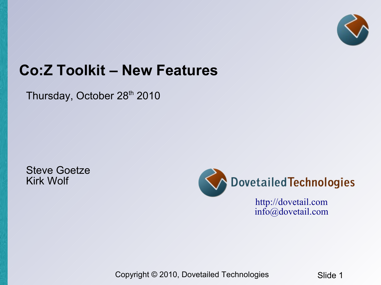

### **Co:Z Toolkit – New Features**

Thursday, October 28<sup>th</sup> 2010

Steve Goetze Kirk Wolf



[info@dovetail.com](mailto:info@dovetail.com)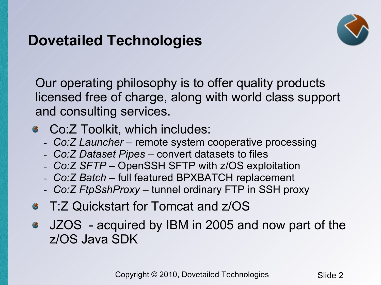### **Dovetailed Technologies**



Our operating philosophy is to offer quality products licensed free of charge, along with world class support and consulting services.

- Co:Z Toolkit, which includes:
	- *Co:Z Launcher* remote system cooperative processing
	- *Co:Z Dataset Pipes* convert datasets to files
	- *Co:Z SFTP* OpenSSH SFTP with z/OS exploitation
	- *Co:Z Batch* full featured BPXBATCH replacement
	- *Co:Z FtpSshProxy* tunnel ordinary FTP in SSH proxy
- T:Z Quickstart for Tomcat and z/OS
- JZOS acquired by IBM in 2005 and now part of the z/OS Java SDK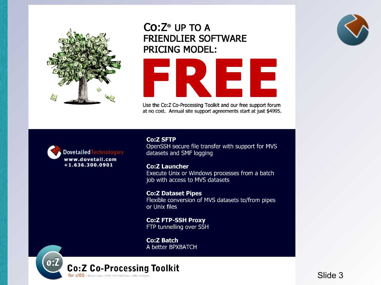

### $Co:Z^{\circ}$  UP TO A **FRIENDLIER SOFTWARE PRICING MODEL:**



Use the Co:Z Co-Processing Toolkit and our free support forum at no cost. Annual site support agreements start at just \$4995.



**Co:Z SFTP** OpenSSH secure file transfer with support for MVS datasets and SMF logging

**Co:Z Launcher** Execute Unix or Windows processes from a batch job with access to MVS datasets

**Co:Z Dataset Pipes** Flexible conversion of MVS datasets to/from pipes or Unix files

**Co:Z FTP-SSH Proxy** FTP tunnelling over SSH

**Co:Z Batch** A better BPXBATCH





 $\overline{\text{Silde 3}}$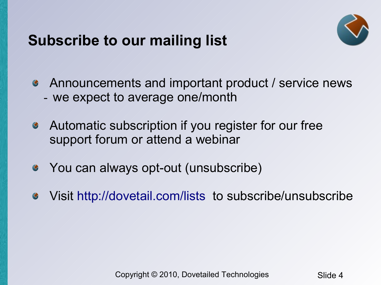### **Subscribe to our mailing list**



- Announcements and important product / service news - we expect to average one/month
- Automatic subscription if you register for our free  $\bullet$ support forum or attend a webinar
- You can always opt-out (unsubscribe)  $\bullet$
- Visit <http://dovetail.com/lists> to subscribe/unsubscribe $\bullet$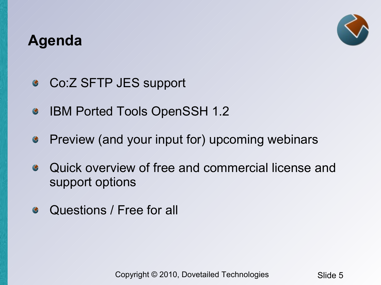### **Agenda**



- Co:Z SFTP JES support  $\bullet$
- IBM Ported Tools OpenSSH 1.2  $\bullet$
- Preview (and your input for) upcoming webinars  $\bullet$
- Quick overview of free and commercial license and  $\bullet$ support options
- Questions / Free for all $\bullet$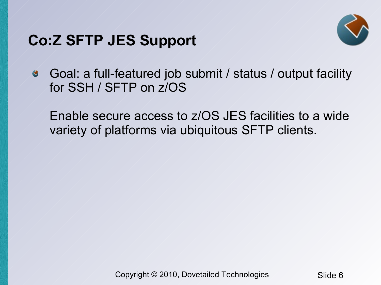### **Co:Z SFTP JES Support**



Goal: a full-featured job submit / status / output facility  $\bullet$ for SSH / SFTP on z/OS

Enable secure access to z/OS JES facilities to a wide variety of platforms via ubiquitous SFTP clients.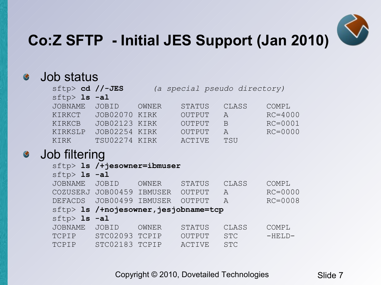

# **Co:Z SFTP - Initial JES Support (Jan 2010)**

#### Job status  $\bullet$

|                  | $sttp$ cd //-JES<br>(a special pseudo directory) |       |               |               |             |  |  |  |  |
|------------------|--------------------------------------------------|-------|---------------|---------------|-------------|--|--|--|--|
| $sftp > 1s - a1$ |                                                  |       |               |               |             |  |  |  |  |
| <b>JOBNAME</b>   | JOBID                                            | OWNER | <b>STATUS</b> | CLASS         | COMPL       |  |  |  |  |
| KIRKCT           | JOB02070 KIRK                                    |       | OUTPUT        | $\mathcal{A}$ | $RC = 4000$ |  |  |  |  |
| KIRKCB           | JOB02123 KIRK                                    |       | OUTPUT        | B             | $RC = 0001$ |  |  |  |  |
| KIRKSLP          | JOB02254 KIRK                                    |       | <b>OUTPUT</b> | Α             | $RC = 0000$ |  |  |  |  |
| KIRK             | TSU02274 KIRK                                    |       | ACTIVE        | <b>TSU</b>    |             |  |  |  |  |
| .                |                                                  |       |               |               |             |  |  |  |  |

#### Job filtering  $\bullet$

|                   | $sttp$ ls /+jesowner=ibmuser |                |                                               |               |             |
|-------------------|------------------------------|----------------|-----------------------------------------------|---------------|-------------|
| $sttp$ > 1s -al   |                              |                |                                               |               |             |
| <b>JOBNAME</b>    | JOBID                        | <b>OWNER</b>   | STATUS                                        | CLASS         | COMPL       |
| COZUSERJ JOB00459 |                              | <b>IBMUSER</b> | OUTPUT                                        | $\mathcal{A}$ | $RC = 0000$ |
| DEFACDS           | JOB00499                     | IBMUSER        | OUTPUT                                        | $\forall$     | $RC = 0008$ |
|                   |                              |                | $\text{sttp}$ 1s /+nojesowner, jesjobname=tcp |               |             |
| $sftp>$ 1s $-al$  |                              |                |                                               |               |             |
| <b>JOBNAME</b>    | JOBID                        | <b>OWNER</b>   | <b>STATUS</b>                                 | CLASS         | COMPL       |
| TCPIP             | STC02093                     | TCPIP          | OUTPUT                                        | <b>STC</b>    | $-HELD-$    |
| TCPIP             | STC02183                     | TCPTP          | ACTIVE                                        | <b>STC</b>    |             |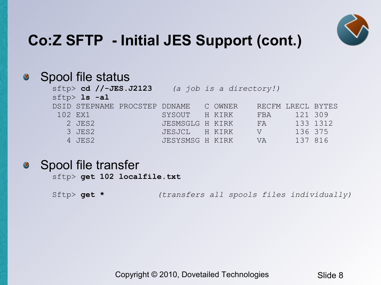

# **Co:Z SFTP - Initial JES Support (cont.)**

#### Spool file status  $\bullet$

|         | $sftp>$ cd //-JES.J2123<br>(a job is a directory!) |                                       |                 |  |  |  |            |                   |  |
|---------|----------------------------------------------------|---------------------------------------|-----------------|--|--|--|------------|-------------------|--|
|         | $sttp > 1s - a1$                                   |                                       |                 |  |  |  |            |                   |  |
|         |                                                    | DSID STEPNAME PROCSTEP DDNAME C OWNER |                 |  |  |  |            | RECFM LRECL BYTES |  |
| 102 EX1 |                                                    |                                       | SYSOUT H KIRK   |  |  |  | FBA /      | 121/309           |  |
|         | 2 JES2                                             |                                       | JESMSGLG H KIRK |  |  |  | FA         | 133 1312          |  |
|         | 3 JES2                                             |                                       | JESJCL H KIRK   |  |  |  | $\sqrt{V}$ | 136 375           |  |
|         | 4 JES2                                             |                                       | JESYSMSG H KIRK |  |  |  | - VA       | 137 816           |  |

#### Spool file transfer  $\bullet$

sftp> **get 102 localfile.txt**

Sftp> **get \*** *(transfers all spools files individually)*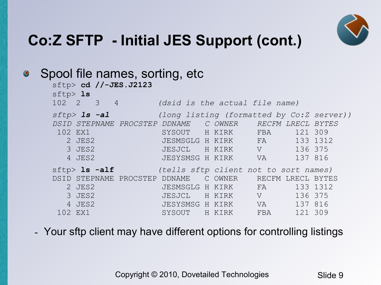

# **Co:Z SFTP - Initial JES Support (cont.)**

|  |                                                                                                                                      |                                        |                               |                                |                                                                                                         |                                              | <i>BYTES</i><br>133 1312                                                                                                                                                                                                                                                                                                            |
|--|--------------------------------------------------------------------------------------------------------------------------------------|----------------------------------------|-------------------------------|--------------------------------|---------------------------------------------------------------------------------------------------------|----------------------------------------------|-------------------------------------------------------------------------------------------------------------------------------------------------------------------------------------------------------------------------------------------------------------------------------------------------------------------------------------|
|  |                                                                                                                                      |                                        |                               |                                |                                                                                                         |                                              | 133 1312                                                                                                                                                                                                                                                                                                                            |
|  | sftp > 1s<br>$sttp > 1s - a1$<br>102 EX1<br>2 JES2<br>3 JES2<br>4 JES2<br>$sftp>$ is $-alf$<br>2 JES2<br>3 JES2<br>4 JES2<br>102 EX1 | sftp> cd //-JES.J2123<br>$102 / 2$ 3 4 | DSID STEPNAME PROCSTEP DDNAME | Spool file names, sorting, etc | DSID STEPNAME PROCSTEP DDNAME C OWNER<br>JESYSMSG H KIRK<br>C OWNER<br>JESYSMSG H KIRK<br>SYSOUT H KIRK | JESMSGLG H KIRK FA<br>JESJCL H KIRK V<br>FBA | (dsid is the actual file name)<br>(long listing (formatted by Co:Z server))<br>RECFM LRECL<br>121 309<br>SYSOUT H KIRK FBA<br>JESMSGLG H KIRK FA<br>JESJCL / H KIRK / V / /<br>136 375<br>137 816<br>$\mathsf{V}\mathsf{A}$<br>(tells sftp client not to sort names)<br>RECFM LRECL BYTES<br>136 375<br>137 816<br>VA 11<br>121 309 |

- Your sftp client may have different options for controlling listings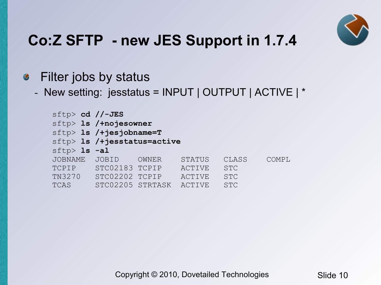

#### Filter jobs by status  $\bullet$

- New setting: jesstatus = INPUT | OUTPUT | ACTIVE | \*

| $sftp> cd$ //-JES |                                  |       |               |            |       |  |  |  |  |
|-------------------|----------------------------------|-------|---------------|------------|-------|--|--|--|--|
|                   | sftp> 1s /+nojesowner            |       |               |            |       |  |  |  |  |
|                   | $\text{sftp>}$ 1s /+jesjobname=T |       |               |            |       |  |  |  |  |
|                   | sftp> 1s /+jesstatus=active      |       |               |            |       |  |  |  |  |
| $sftp>$ 1s $-al$  |                                  |       |               |            |       |  |  |  |  |
| <b>JOBNAME</b>    | <b>JOBID</b>                     | OWNER | <b>STATUS</b> | CLASS      | COMPL |  |  |  |  |
| TCPIP             | STC02183 TCPIP                   |       | <b>ACTIVE</b> | <b>STC</b> |       |  |  |  |  |
| TN3270            | STC02202 TCPIP                   |       | ACTIVE        | <b>STC</b> |       |  |  |  |  |
| TCAS              | STC02205 STRTASK                 |       | ACTIVE        | <b>STC</b> |       |  |  |  |  |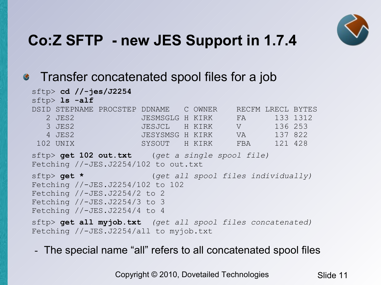

### • Transfer concatenated spool files for a job

#### sftp> **cd //-jes/J2254**

sftp> **ls -alf**

| DSID STEPNAME PROCSTEP DDNAME |                 | C OWNER |            | RECFM LRECL BYTES |          |
|-------------------------------|-----------------|---------|------------|-------------------|----------|
| 2 JES2                        | JESMSGLG H KIRK |         | FA         |                   | 133 1312 |
| 3 JES2                        | JESJCL H KIRK   |         | $\sqrt{ }$ | 136 253           |          |
| 4 JES2                        | JESYSMSG H KIRK |         | VA.        | 137 822           |          |
| 102 UNTX                      | SYSOUT          | H KTRK  | FBA        | 121 428           |          |

sftp> **get 102 out.txt** (*get a single spool file)* Fetching //-JES.J2254/102 to out.txt

```
sftp> get * (get all spool files individually)
Fetching //-JES.J2254/102 to 102
Fetching //-JES.J2254/2 to 2
Fetching //-JES.J2254/3 to 3
Fetching //-JES.J2254/4 to 4
```

```
sftp> get all myjob.txt (get all spool files concatenated)
Fetching //-JES.J2254/all to myjob.txt
```
- The special name "all" refers to all concatenated spool files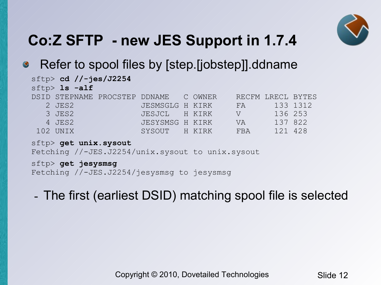

#### Refer to spool files by [step.[jobstep]].ddname  $\bullet$

|  | $sttp$ cd //-jes/J2254 |                                       |                 |  |                   |         |          |
|--|------------------------|---------------------------------------|-----------------|--|-------------------|---------|----------|
|  | $sttp$ > $ls$ -alf     |                                       |                 |  |                   |         |          |
|  |                        | DSID STEPNAME PROCSTEP DDNAME C OWNER |                 |  | RECFM LRECL BYTES |         |          |
|  | 2 JES2                 |                                       | JESMSGLG H KIRK |  | $-FA$             |         | 133 1312 |
|  | 3 JES2                 |                                       | JESJCL / H KIRK |  | VV / / /          | 136 253 |          |
|  | 4 JES2                 |                                       | JESYSMSG H KIRK |  | <b>VA</b>         | 137 822 |          |
|  | 102 UNIX               |                                       | SYSOUT H KIRK   |  | FBA               | 121 428 |          |

sftp> **get unix.sysout** Fetching //-JES.J2254/unix.sysout to unix.sysout

sftp> **get jesysmsg** Fetching //-JES.J2254/jesysmsg to jesysmsg

- The first (earliest DSID) matching spool file is selected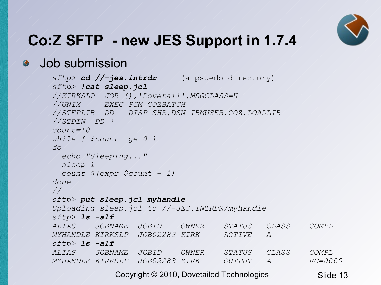

### Job submission

```
sftp> cd //-jes.intrdr (a psuedo directory)
sftp> !cat sleep.jcl
//KIRKSLP JOB (),'Dovetail',MSGCLASS=H
//UNIX EXEC PGM=COZBATCH
//STEPLIB DD DISP=SHR,DSN=IBMUSER.COZ.LOADLIB
//STDIN DD *
count=10
while [ $count -ge 0 ]
do
  echo "Sleeping..."
  sleep 1
  count=$(expr $count – 1)
done
//
sftp> put sleep.jcl myhandle
Uploading sleep.jcl to //-JES.INTRDR/myhandle
sftp> ls -alf
ALIAS JOBNAME JOBID OWNER STATUS CLASS COMPL
MYHANDLE KIRKSLP JOB02283 KIRK ACTIVE A 
sftp> ls -alf
ALIAS JOBNAME JOBID OWNER STATUS CLASS COMPL
MYHANDLE KIRKSLP JOB02283 KIRK OUTPUT A RC=0000
```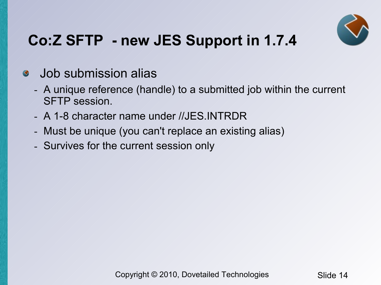

#### Job submission alias  $\bullet$

- A unique reference (handle) to a submitted job within the current SFTP session.
- A 1-8 character name under //JES.INTRDR
- Must be unique (you can't replace an existing alias)
- Survives for the current session only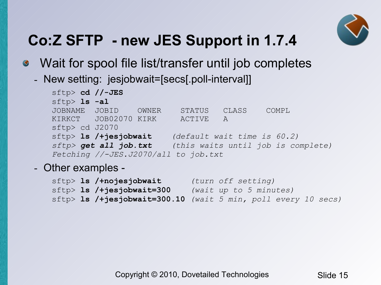

- Wait for spool file list/transfer until job completes  $\bullet$ 
	- New setting: jesjobwait=[secs[.poll-interval]]

```
sftp> cd //-JES
sftp> ls -al
JOBNAME JOBID OWNER STATUS CLASS COMPL
KIRKCT JOB02070 KIRK ACTIVE A
sftp> cd J2070
sftp> ls /+jesjobwait (default wait time is 60.2)
sftp> get all job.txt (this waits until job is complete)
Fetching //-JES.J2070/all to job.txt
```
- Other examples -

|  | sftp> 1s /+nojesjobwait                                       | (turn off setting)     |  |  |  |
|--|---------------------------------------------------------------|------------------------|--|--|--|
|  | $\text{sftp>1s}$ /+jesjobwait=300                             | (wait up to 5 minutes) |  |  |  |
|  | sftp> 1s /+jesjobwait=300.10 (wait 5 min, poll every 10 secs) |                        |  |  |  |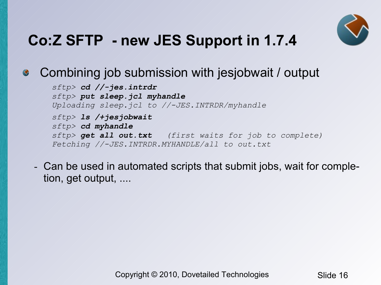

#### Combining job submission with jesjobwait / output  $\bullet$

*sftp> cd //-jes.intrdr sftp> put sleep.jcl myhandle Uploading sleep.jcl to //-JES.INTRDR/myhandle sftp> ls /+jesjobwait sftp> cd myhandle sftp> get all out.txt (first waits for job to complete) Fetching //-JES.INTRDR.MYHANDLE/all to out.txt*

- Can be used in automated scripts that submit jobs, wait for completion, get output, ....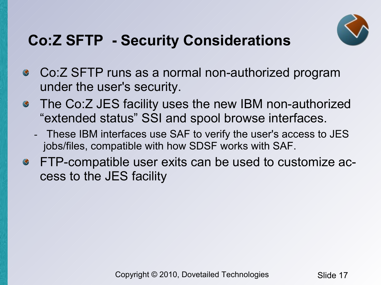

# **Co:Z SFTP - Security Considerations**

- Co:Z SFTP runs as a normal non-authorized program  $\bullet$ under the user's security.
- The Co:Z JES facility uses the new IBM non-authorized "extended status" SSI and spool browse interfaces.
	- These IBM interfaces use SAF to verify the user's access to JES jobs/files, compatible with how SDSF works with SAF.
- FTP-compatible user exits can be used to customize access to the JES facility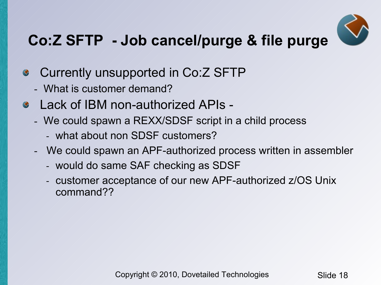

# **Co:Z SFTP - Job cancel/purge & file purge**

- Currently unsupported in Co:Z SFTP  $\bullet$ 
	- What is customer demand?
- Lack of IBM non-authorized APIs
	- We could spawn a REXX/SDSF script in a child process
		- what about non SDSF customers?
	- We could spawn an APF-authorized process written in assembler
		- would do same SAF checking as SDSF
		- customer acceptance of our new APF-authorized z/OS Unix command??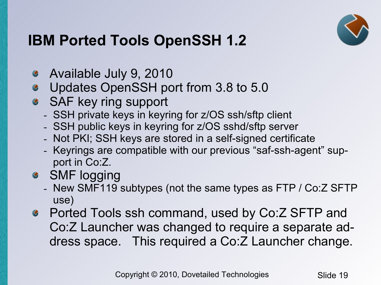

# **IBM Ported Tools OpenSSH 1.2**

- Available July 9, 2010
- Updates OpenSSH port from 3.8 to 5.0  $\bullet$
- SAF key ring support
	- SSH private keys in keyring for z/OS ssh/sftp client
	- SSH public keys in keyring for z/OS sshd/sftp server
	- Not PKI; SSH keys are stored in a self-signed certificate
	- Keyrings are compatible with our previous "saf-ssh-agent" support in Co:Z.
- SMF logging
	- New SMF119 subtypes (not the same types as FTP / Co:Z SFTP use)
- Ported Tools ssh command, used by Co:Z SFTP and Co:Z Launcher was changed to require a separate address space. This required a Co:Z Launcher change.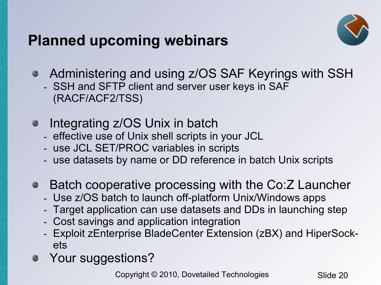### **Planned upcoming webinars**



- Administering and using z/OS SAF Keyrings with SSH
	- SSH and SFTP client and server user keys in SAF (RACF/ACF2/TSS)
- Integrating z/OS Unix in batch
	- effective use of Unix shell scripts in your JCL
	- use JCL SET/PROC variables in scripts
	- use datasets by name or DD reference in batch Unix scripts
- Batch cooperative processing with the Co:Z Launcher
	- Use z/OS batch to launch off-platform Unix/Windows apps
	- Target application can use datasets and DDs in launching step
	- Cost savings and application integration
	- Exploit zEnterprise BladeCenter Extension (zBX) and HiperSockets
- Your suggestions?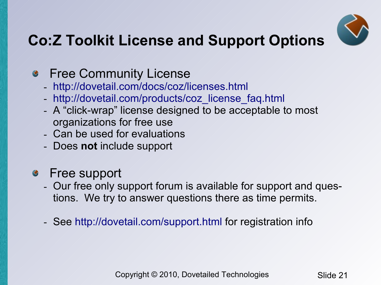

# **Co:Z Toolkit License and Support Options**

### **S** Free Community License

- <http://dovetail.com/docs/coz/licenses.html>
- [http://dovetail.com/products/coz\\_license\\_faq.html](http://dovetail.com/products/coz_license_faq.html)
- A "click-wrap" license designed to be acceptable to most organizations for free use
- Can be used for evaluations
- Does **not** include support
- Free support  $\bullet$ 
	- Our free only support forum is available for support and questions. We try to answer questions there as time permits.
	- See <http://dovetail.com/support.html> for registration info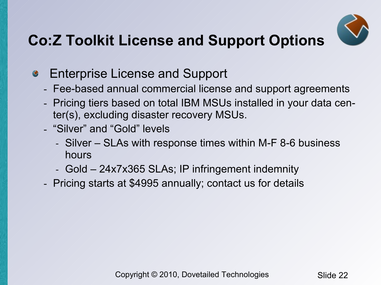

# **Co:Z Toolkit License and Support Options**

- Enterprise License and Support  $\bullet$ 
	- Fee-based annual commercial license and support agreements
	- Pricing tiers based on total IBM MSUs installed in your data center(s), excluding disaster recovery MSUs.
	- "Silver" and "Gold" levels
		- Silver SLAs with response times within M-F 8-6 business hours
		- Gold 24x7x365 SLAs; IP infringement indemnity
	- Pricing starts at \$4995 annually; contact us for details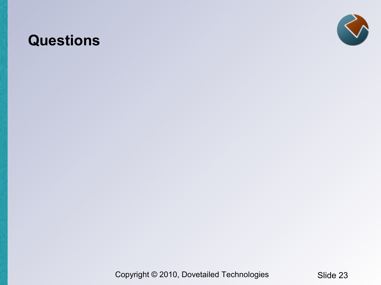### **Questions**